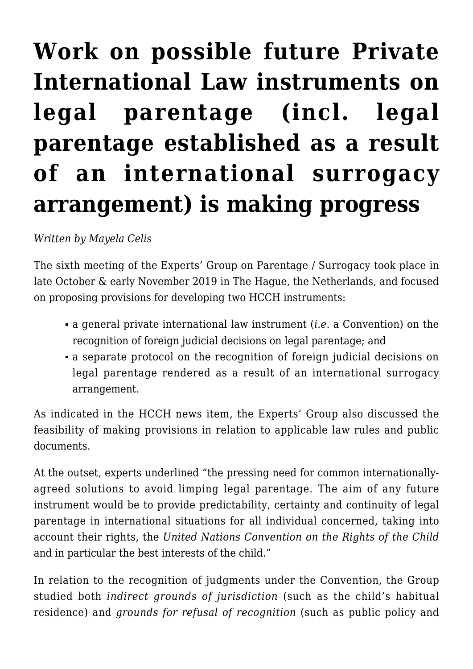## **[Work on possible future Private](https://conflictoflaws.net/2019/work-on-possible-future-hcch-instruments-on-the-recognition-of-foreign-judicial-decisions-on-legal-parentage-incl-those-resulting-from-an-international-surrogacy-arrangement-is-making-progress/) [International Law instruments on](https://conflictoflaws.net/2019/work-on-possible-future-hcch-instruments-on-the-recognition-of-foreign-judicial-decisions-on-legal-parentage-incl-those-resulting-from-an-international-surrogacy-arrangement-is-making-progress/) [legal parentage \(incl. legal](https://conflictoflaws.net/2019/work-on-possible-future-hcch-instruments-on-the-recognition-of-foreign-judicial-decisions-on-legal-parentage-incl-those-resulting-from-an-international-surrogacy-arrangement-is-making-progress/) [parentage established as a result](https://conflictoflaws.net/2019/work-on-possible-future-hcch-instruments-on-the-recognition-of-foreign-judicial-decisions-on-legal-parentage-incl-those-resulting-from-an-international-surrogacy-arrangement-is-making-progress/) [of an international surrogacy](https://conflictoflaws.net/2019/work-on-possible-future-hcch-instruments-on-the-recognition-of-foreign-judicial-decisions-on-legal-parentage-incl-those-resulting-from-an-international-surrogacy-arrangement-is-making-progress/) [arrangement\) is making progress](https://conflictoflaws.net/2019/work-on-possible-future-hcch-instruments-on-the-recognition-of-foreign-judicial-decisions-on-legal-parentage-incl-those-resulting-from-an-international-surrogacy-arrangement-is-making-progress/)**

*Written by Mayela Celis*

The sixth meeting of the Experts' Group on Parentage / Surrogacy took place in late October & early November 2019 in The Hague, the Netherlands, and focused on proposing provisions for developing two HCCH instruments:

- a general private international law instrument (*i.e*. a Convention) on the recognition of foreign judicial decisions on legal parentage; and
- a separate protocol on the recognition of foreign judicial decisions on legal parentage rendered as a result of an international surrogacy arrangement.

As indicated in the HCCH news item, the Experts' Group also discussed the feasibility of making provisions in relation to applicable law rules and public documents.

At the outset, experts underlined "the pressing need for common internationallyagreed solutions to avoid limping legal parentage. The aim of any future instrument would be to provide predictability, certainty and continuity of legal parentage in international situations for all individual concerned, taking into account their rights, the *United Nations Convention on the Rights of the Child* and in particular the best interests of the child."

In relation to the recognition of judgments under the Convention, the Group studied both *indirect grounds of jurisdiction* (such as the child's habitual residence) and *grounds for refusal of recognition* (such as public policy and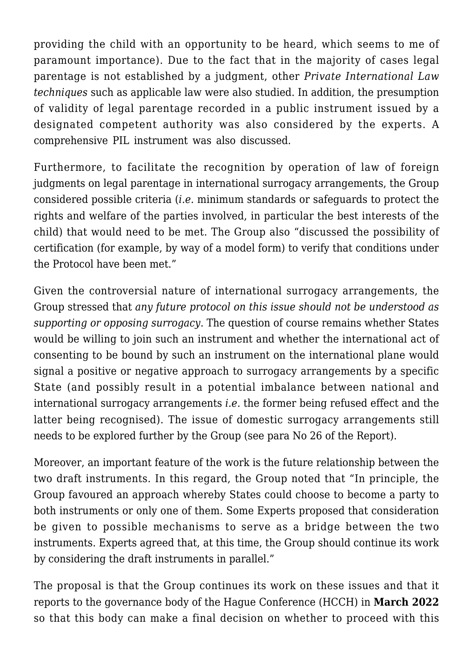providing the child with an opportunity to be heard, which seems to me of paramount importance). Due to the fact that in the majority of cases legal parentage is not established by a judgment, other *Private International Law techniques* such as applicable law were also studied. In addition, the presumption of validity of legal parentage recorded in a public instrument issued by a designated competent authority was also considered by the experts. A comprehensive PIL instrument was also discussed.

Furthermore, to facilitate the recognition by operation of law of foreign judgments on legal parentage in international surrogacy arrangements, the Group considered possible criteria (*i.e.* minimum standards or safeguards to protect the rights and welfare of the parties involved, in particular the best interests of the child) that would need to be met. The Group also "discussed the possibility of certification (for example, by way of a model form) to verify that conditions under the Protocol have been met."

Given the controversial nature of international surrogacy arrangements, the Group stressed that *any future protocol on this issue should not be understood as supporting or opposing surrogacy*. The question of course remains whether States would be willing to join such an instrument and whether the international act of consenting to be bound by such an instrument on the international plane would signal a positive or negative approach to surrogacy arrangements by a specific State (and possibly result in a potential imbalance between national and international surrogacy arrangements *i.e.* the former being refused effect and the latter being recognised). The issue of domestic surrogacy arrangements still needs to be explored further by the Group (see para No 26 of the Report).

Moreover, an important feature of the work is the future relationship between the two draft instruments. In this regard, the Group noted that "In principle, the Group favoured an approach whereby States could choose to become a party to both instruments or only one of them. Some Experts proposed that consideration be given to possible mechanisms to serve as a bridge between the two instruments. Experts agreed that, at this time, the Group should continue its work by considering the draft instruments in parallel."

The proposal is that the Group continues its work on these issues and that it reports to the governance body of the Hague Conference (HCCH) in **March 2022** so that this body can make a final decision on whether to proceed with this